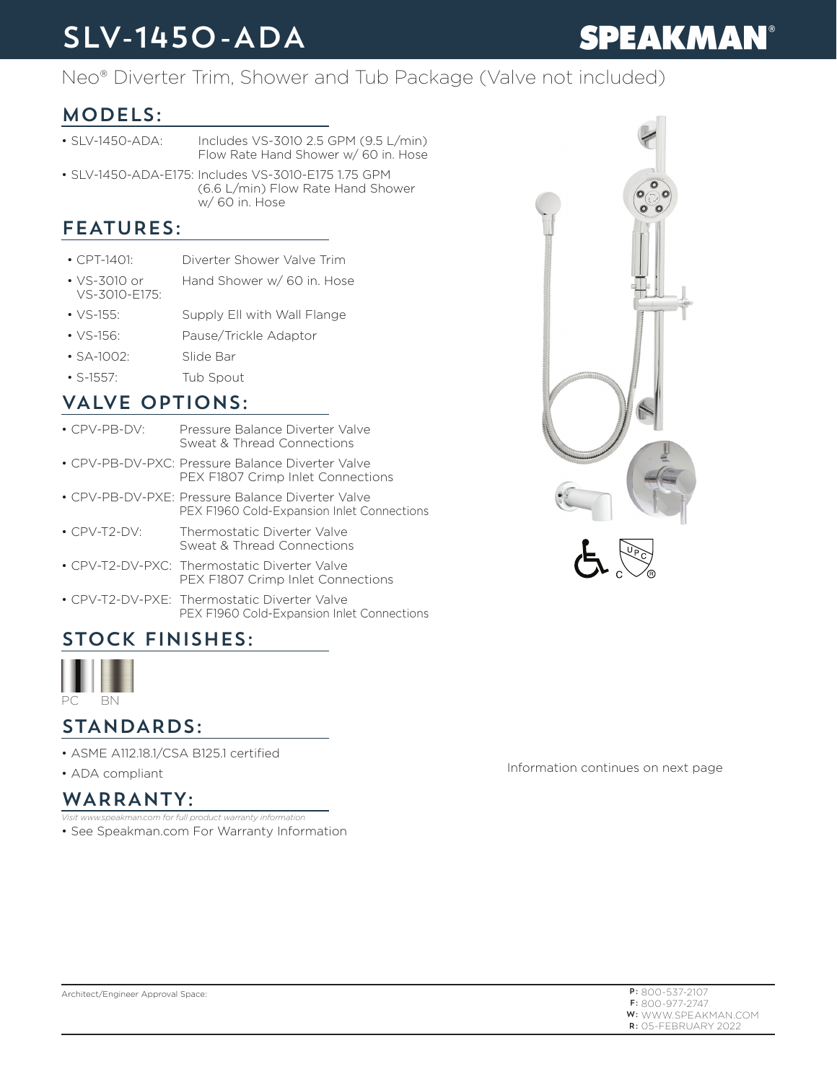# SLV-1450-ADA

# **SPEAKMAN®**

## Neo® Diverter Trim, Shower and Tub Package (Valve not included)

## MODELS:

- SLV-1450-ADA: Includes VS-3010 2.5 GPM (9.5 L/min) Flow Rate Hand Shower w/ 60 in. Hose
- SLV-1450-ADA-E175: Includes VS-3010-E175 1.75 GPM (6.6 L/min) Flow Rate Hand Shower w/ 60 in. Hose

### FEATURES:

- CPT-1401: Diverter Shower Valve Trim
- VS-3010 or VS-3010-E175: Hand Shower w/ 60 in. Hose
- VS-155: Supply Ell with Wall Flange
- VS-156: Pause/Trickle Adaptor
- SA-1002: Slide Bar
- S-1557: Tub Spout

### VALVE OPTIONS:

- CPV-PB-DV: Pressure Balance Diverter Valve Sweat & Thread Connections
- CPV-PB-DV-PXC: Pressure Balance Diverter Valve PEX F1807 Crimp Inlet Connections
- CPV-PB-DV-PXE: Pressure Balance Diverter Valve PEX F1960 Cold-Expansion Inlet Connections
- CPV-T2-DV: Thermostatic Diverter Valve Sweat & Thread Connections
- CPV-T2-DV-PXC: Thermostatic Diverter Valve PEX F1807 Crimp Inlet Connections
- CPV-T2-DV-PXE: Thermostatic Diverter Valve PEX F1960 Cold-Expansion Inlet Connections

# STOCK FINISHES:



### STANDARDS:

- ASME A112.18.1/CSA B125.1 certified
- ADA compliant

### WARRANTY:

*Visit www.speakman.com for full product warranty information*

• See Speakman.com For Warranty Information





Information continues on next page

| $P: 800 - 537 - 2107$      |
|----------------------------|
| $F: 800 - 977 - 2747$      |
| <b>W:</b> WWW.SPFAKMAN.COM |
| $R:$ 05-FFBRUARY 2022      |